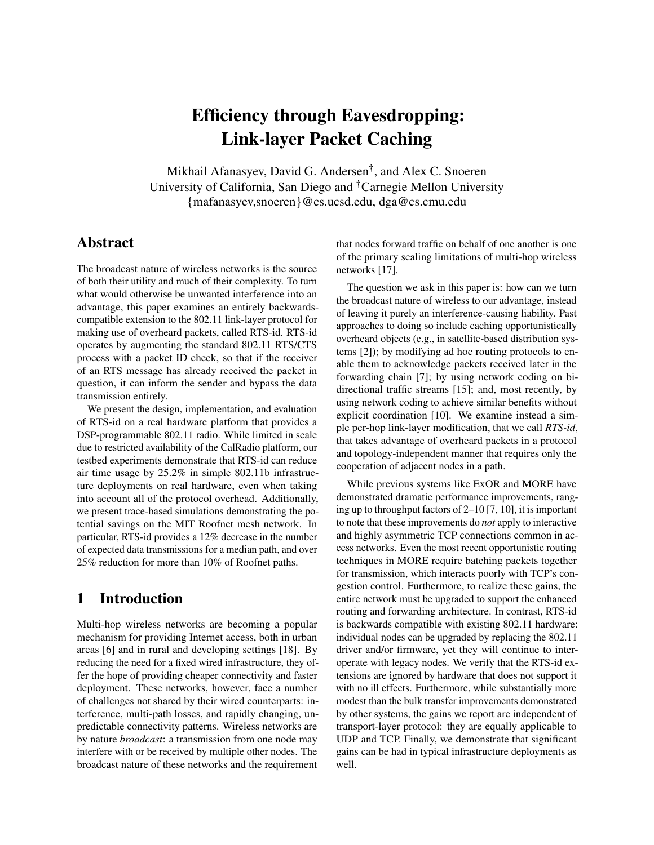# Efficiency through Eavesdropping: Link-layer Packet Caching

Mikhail Afanasyev, David G. Andersen† , and Alex C. Snoeren University of California, San Diego and †Carnegie Mellon University {mafanasyev,snoeren}@cs.ucsd.edu, dga@cs.cmu.edu

### Abstract

The broadcast nature of wireless networks is the source of both their utility and much of their complexity. To turn what would otherwise be unwanted interference into an advantage, this paper examines an entirely backwardscompatible extension to the 802.11 link-layer protocol for making use of overheard packets, called RTS-id. RTS-id operates by augmenting the standard 802.11 RTS/CTS process with a packet ID check, so that if the receiver of an RTS message has already received the packet in question, it can inform the sender and bypass the data transmission entirely.

We present the design, implementation, and evaluation of RTS-id on a real hardware platform that provides a DSP-programmable 802.11 radio. While limited in scale due to restricted availability of the CalRadio platform, our testbed experiments demonstrate that RTS-id can reduce air time usage by 25.2% in simple 802.11b infrastructure deployments on real hardware, even when taking into account all of the protocol overhead. Additionally, we present trace-based simulations demonstrating the potential savings on the MIT Roofnet mesh network. In particular, RTS-id provides a 12% decrease in the number of expected data transmissions for a median path, and over 25% reduction for more than 10% of Roofnet paths.

## 1 Introduction

Multi-hop wireless networks are becoming a popular mechanism for providing Internet access, both in urban areas [[6](#page-13-0)] and in rural and developing settings [[18](#page-13-1)]. By reducing the need for a fixed wired infrastructure, they offer the hope of providing cheaper connectivity and faster deployment. These networks, however, face a number of challenges not shared by their wired counterparts: interference, multi-path losses, and rapidly changing, unpredictable connectivity patterns. Wireless networks are by nature *broadcast*: a transmission from one node may interfere with or be received by multiple other nodes. The broadcast nature of these networks and the requirement

that nodes forward traffic on behalf of one another is one of the primary scaling limitations of multi-hop wireless networks [\[17\]](#page-13-2).

The question we ask in this paper is: how can we turn the broadcast nature of wireless to our advantage, instead of leaving it purely an interference-causing liability. Past approaches to doing so include caching opportunistically overheard objects (e.g., in satellite-based distribution systems [[2](#page-13-3)]); by modifying ad hoc routing protocols to enable them to acknowledge packets received later in the forwarding chain [[7](#page-13-4)]; by using network coding on bidirectional traffic streams [[15](#page-13-5)]; and, most recently, by using network coding to achieve similar benefits without explicit coordination [[10](#page-13-6)]. We examine instead a simple per-hop link-layer modification, that we call *RTS-id*, that takes advantage of overheard packets in a protocol and topology-independent manner that requires only the cooperation of adjacent nodes in a path.

While previous systems like ExOR and MORE have demonstrated dramatic performance improvements, ranging up to throughput factors of 2–10 [[7](#page-13-4), [10](#page-13-6)], it is important to note that these improvements do *not* apply to interactive and highly asymmetric TCP connections common in access networks. Even the most recent opportunistic routing techniques in MORE require batching packets together for transmission, which interacts poorly with TCP's congestion control. Furthermore, to realize these gains, the entire network must be upgraded to support the enhanced routing and forwarding architecture. In contrast, RTS-id is backwards compatible with existing 802.11 hardware: individual nodes can be upgraded by replacing the 802.11 driver and/or firmware, yet they will continue to interoperate with legacy nodes. We verify that the RTS-id extensions are ignored by hardware that does not support it with no ill effects. Furthermore, while substantially more modest than the bulk transfer improvements demonstrated by other systems, the gains we report are independent of transport-layer protocol: they are equally applicable to UDP and TCP. Finally, we demonstrate that significant gains can be had in typical infrastructure deployments as well.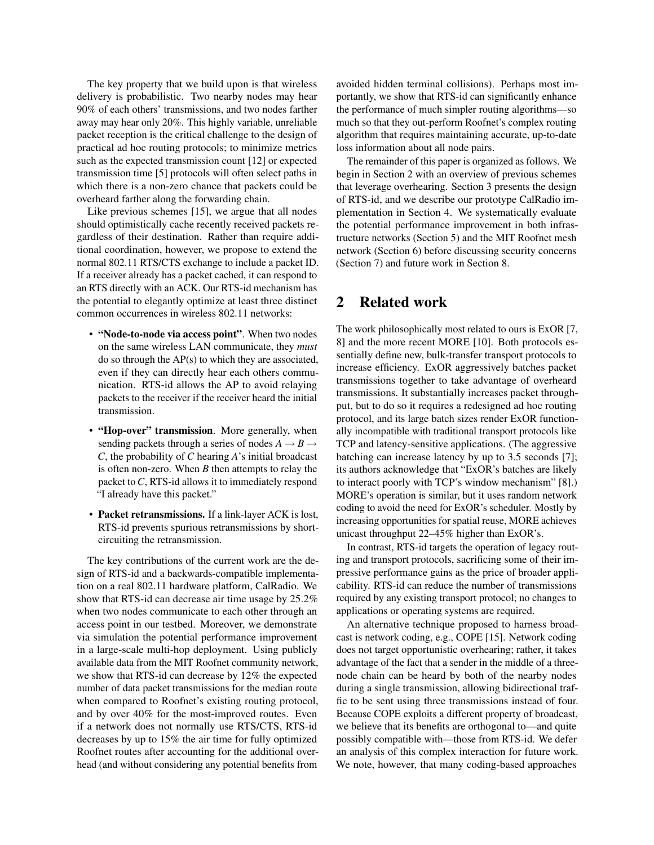The key property that we build upon is that wireless delivery is probabilistic. Two nearby nodes may hear 90% of each others' transmissions, and two nodes farther away may hear only 20%. This highly variable, unreliable packet reception is the critical challenge to the design of practical ad hoc routing protocols; to minimize metrics such as the expected transmission count [[12](#page-13-7)] or expected transmission time [[5](#page-13-8)] protocols will often select paths in which there is a non-zero chance that packets could be overheard farther along the forwarding chain.

Like previous schemes [[15](#page-13-5)], we argue that all nodes should optimistically cache recently received packets regardless of their destination. Rather than require additional coordination, however, we propose to extend the normal 802.11 RTS/CTS exchange to include a packet ID. If a receiver already has a packet cached, it can respond to an RTS directly with an ACK. Our RTS-id mechanism has the potential to elegantly optimize at least three distinct common occurrences in wireless 802.11 networks:

- "Node-to-node via access point". When two nodes on the same wireless LAN communicate, they *must* do so through the AP(s) to which they are associated, even if they can directly hear each others communication. RTS-id allows the AP to avoid relaying packets to the receiver if the receiver heard the initial transmission.
- "Hop-over" transmission. More generally, when sending packets through a series of nodes  $A \rightarrow B \rightarrow$ *C*, the probability of *C* hearing *A*'s initial broadcast is often non-zero. When *B* then attempts to relay the packet to*C*, RTS-id allows it to immediately respond "I already have this packet."
- Packet retransmissions. If a link-layer ACK is lost, RTS-id prevents spurious retransmissions by shortcircuiting the retransmission.

The key contributions of the current work are the design of RTS-id and a backwards-compatible implementation on a real 802.11 hardware platform, CalRadio. We show that RTS-id can decrease air time usage by 25.2% when two nodes communicate to each other through an access point in our testbed. Moreover, we demonstrate via simulation the potential performance improvement in a large-scale multi-hop deployment. Using publicly available data from the MIT Roofnet community network, we show that RTS-id can decrease by 12% the expected number of data packet transmissions for the median route when compared to Roofnet's existing routing protocol, and by over 40% for the most-improved routes. Even if a network does not normally use RTS/CTS, RTS-id decreases by up to 15% the air time for fully optimized Roofnet routes after accounting for the additional overhead (and without considering any potential benefits from

avoided hidden terminal collisions). Perhaps most importantly, we show that RTS-id can significantly enhance the performance of much simpler routing algorithms—so much so that they out-perform Roofnet's complex routing algorithm that requires maintaining accurate, up-to-date loss information about all node pairs.

The remainder of this paper is organized as follows. We begin in Section [2](#page-1-0) with an overview of previous schemes that leverage overhearing. Section [3](#page-2-0) presents the design of RTS-id, and we describe our prototype CalRadio implementation in Section [4.](#page-4-0) We systematically evaluate the potential performance improvement in both infrastructure networks (Section [5\)](#page-5-0) and the MIT Roofnet mesh network (Section [6\)](#page-6-0) before discussing security concerns (Section [7\)](#page-12-0) and future work in Section [8.](#page-12-1)

### <span id="page-1-0"></span>2 Related work

The work philosophically most related to ours is ExOR [[7](#page-13-4), [8](#page-13-9)] and the more recent MORE [[10](#page-13-6)]. Both protocols essentially define new, bulk-transfer transport protocols to increase efficiency. ExOR aggressively batches packet transmissions together to take advantage of overheard transmissions. It substantially increases packet throughput, but to do so it requires a redesigned ad hoc routing protocol, and its large batch sizes render ExOR functionally incompatible with traditional transport protocols like TCP and latency-sensitive applications. (The aggressive batching can increase latency by up to 3.5 seconds [[7](#page-13-4)]; its authors acknowledge that "ExOR's batches are likely to interact poorly with TCP's window mechanism" [[8](#page-13-9)].) MORE's operation is similar, but it uses random network coding to avoid the need for ExOR's scheduler. Mostly by increasing opportunities for spatial reuse, MORE achieves unicast throughput 22–45% higher than ExOR's.

In contrast, RTS-id targets the operation of legacy routing and transport protocols, sacrificing some of their impressive performance gains as the price of broader applicability. RTS-id can reduce the number of transmissions required by any existing transport protocol; no changes to applications or operating systems are required.

An alternative technique proposed to harness broadcast is network coding, e.g., COPE [[15](#page-13-5)]. Network coding does not target opportunistic overhearing; rather, it takes advantage of the fact that a sender in the middle of a threenode chain can be heard by both of the nearby nodes during a single transmission, allowing bidirectional traffic to be sent using three transmissions instead of four. Because COPE exploits a different property of broadcast, we believe that its benefits are orthogonal to—and quite possibly compatible with—those from RTS-id. We defer an analysis of this complex interaction for future work. We note, however, that many coding-based approaches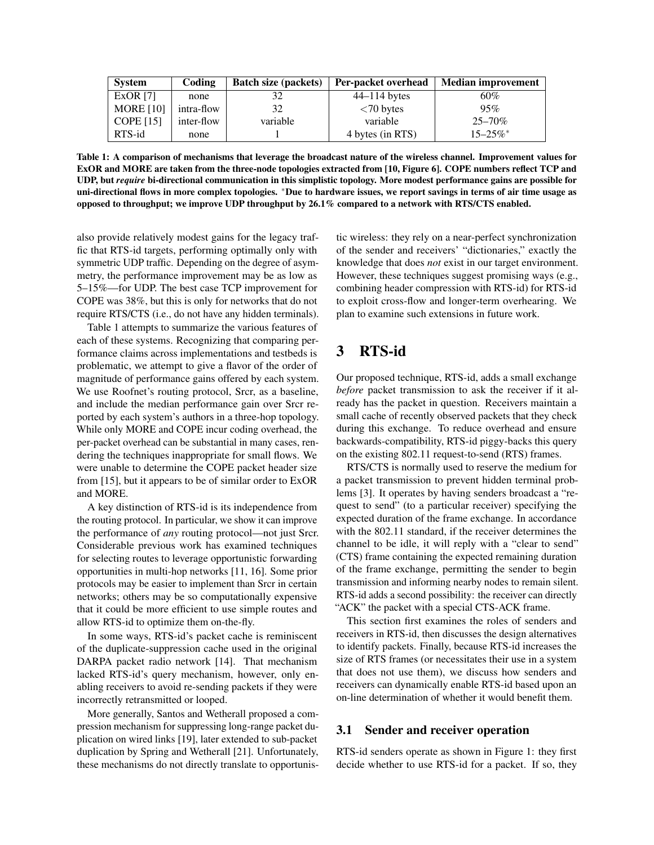| <b>System</b>    | Coding     | <b>Batch size (packets)</b> | Per-packet overhead | <b>Median improvement</b> |
|------------------|------------|-----------------------------|---------------------|---------------------------|
| ExOR $[7]$       | none       |                             | $44-114$ bytes      | 60%                       |
| <b>MORE</b> [10] | intra-flow | 32                          | $<$ 70 bytes        | 95%                       |
| COPE $[15]$      | inter-flow | variable                    | variable            | $25 - 70\%$               |
| RTS-id           | none       |                             | 4 bytes (in RTS)    | $15 - 25\%$ *             |

<span id="page-2-1"></span>Table 1: A comparison of mechanisms that leverage the broadcast nature of the wireless channel. Improvement values for ExOR and MORE are taken from the three-node topologies extracted from [\[10,](#page-13-6) Figure 6]. COPE numbers reflect TCP and UDP, but *require* bi-directional communication in this simplistic topology. More modest performance gains are possible for uni-directional flows in more complex topologies. <sup>∗</sup>Due to hardware issues, we report savings in terms of air time usage as opposed to throughput; we improve UDP throughput by 26.1% compared to a network with RTS/CTS enabled.

also provide relatively modest gains for the legacy traffic that RTS-id targets, performing optimally only with symmetric UDP traffic. Depending on the degree of asymmetry, the performance improvement may be as low as 5–15%—for UDP. The best case TCP improvement for COPE was 38%, but this is only for networks that do not require RTS/CTS (i.e., do not have any hidden terminals).

Table [1](#page-2-1) attempts to summarize the various features of each of these systems. Recognizing that comparing performance claims across implementations and testbeds is problematic, we attempt to give a flavor of the order of magnitude of performance gains offered by each system. We use Roofnet's routing protocol, Srcr, as a baseline, and include the median performance gain over Srcr reported by each system's authors in a three-hop topology. While only MORE and COPE incur coding overhead, the per-packet overhead can be substantial in many cases, rendering the techniques inappropriate for small flows. We were unable to determine the COPE packet header size from [[15](#page-13-5)], but it appears to be of similar order to ExOR and MORE.

A key distinction of RTS-id is its independence from the routing protocol. In particular, we show it can improve the performance of *any* routing protocol—not just Srcr. Considerable previous work has examined techniques for selecting routes to leverage opportunistic forwarding opportunities in multi-hop networks [[11](#page-13-10), [16](#page-13-11)]. Some prior protocols may be easier to implement than Srcr in certain networks; others may be so computationally expensive that it could be more efficient to use simple routes and allow RTS-id to optimize them on-the-fly.

In some ways, RTS-id's packet cache is reminiscent of the duplicate-suppression cache used in the original DARPA packet radio network [[14](#page-13-12)]. That mechanism lacked RTS-id's query mechanism, however, only enabling receivers to avoid re-sending packets if they were incorrectly retransmitted or looped.

More generally, Santos and Wetherall proposed a compression mechanism for suppressing long-range packet duplication on wired links [[19](#page-13-13)], later extended to sub-packet duplication by Spring and Wetherall [[21](#page-13-14)]. Unfortunately, these mechanisms do not directly translate to opportunistic wireless: they rely on a near-perfect synchronization of the sender and receivers' "dictionaries," exactly the knowledge that does *not* exist in our target environment. However, these techniques suggest promising ways (e.g., combining header compression with RTS-id) for RTS-id to exploit cross-flow and longer-term overhearing. We plan to examine such extensions in future work.

# <span id="page-2-0"></span>3 RTS-id

Our proposed technique, RTS-id, adds a small exchange *before* packet transmission to ask the receiver if it already has the packet in question. Receivers maintain a small cache of recently observed packets that they check during this exchange. To reduce overhead and ensure backwards-compatibility, RTS-id piggy-backs this query on the existing 802.11 request-to-send (RTS) frames.

RTS/CTS is normally used to reserve the medium for a packet transmission to prevent hidden terminal problems [[3](#page-13-15)]. It operates by having senders broadcast a "request to send" (to a particular receiver) specifying the expected duration of the frame exchange. In accordance with the 802.11 standard, if the receiver determines the channel to be idle, it will reply with a "clear to send" (CTS) frame containing the expected remaining duration of the frame exchange, permitting the sender to begin transmission and informing nearby nodes to remain silent. RTS-id adds a second possibility: the receiver can directly "ACK" the packet with a special CTS-ACK frame.

This section first examines the roles of senders and receivers in RTS-id, then discusses the design alternatives to identify packets. Finally, because RTS-id increases the size of RTS frames (or necessitates their use in a system that does not use them), we discuss how senders and receivers can dynamically enable RTS-id based upon an on-line determination of whether it would benefit them.

#### 3.1 Sender and receiver operation

RTS-id senders operate as shown in Figure [1:](#page-3-0) they first decide whether to use RTS-id for a packet. If so, they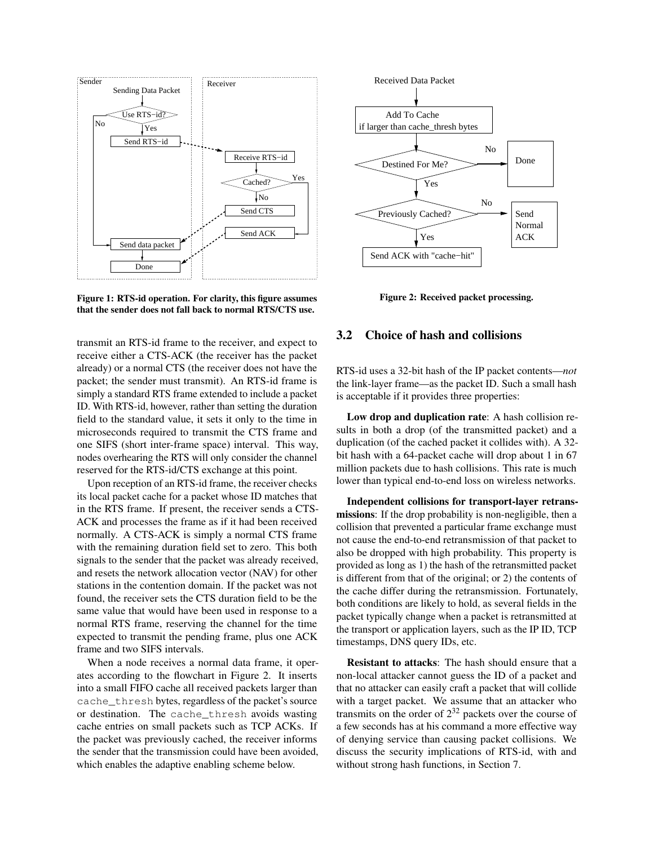

<span id="page-3-0"></span>Figure 1: RTS-id operation. For clarity, this figure assumes that the sender does not fall back to normal RTS/CTS use.

transmit an RTS-id frame to the receiver, and expect to receive either a CTS-ACK (the receiver has the packet already) or a normal CTS (the receiver does not have the packet; the sender must transmit). An RTS-id frame is simply a standard RTS frame extended to include a packet ID. With RTS-id, however, rather than setting the duration field to the standard value, it sets it only to the time in microseconds required to transmit the CTS frame and one SIFS (short inter-frame space) interval. This way, nodes overhearing the RTS will only consider the channel reserved for the RTS-id/CTS exchange at this point.

Upon reception of an RTS-id frame, the receiver checks its local packet cache for a packet whose ID matches that in the RTS frame. If present, the receiver sends a CTS-ACK and processes the frame as if it had been received normally. A CTS-ACK is simply a normal CTS frame with the remaining duration field set to zero. This both signals to the sender that the packet was already received, and resets the network allocation vector (NAV) for other stations in the contention domain. If the packet was not found, the receiver sets the CTS duration field to be the same value that would have been used in response to a normal RTS frame, reserving the channel for the time expected to transmit the pending frame, plus one ACK frame and two SIFS intervals.

When a node receives a normal data frame, it operates according to the flowchart in Figure [2.](#page-3-1) It inserts into a small FIFO cache all received packets larger than cache\_thresh bytes, regardless of the packet's source or destination. The cache\_thresh avoids wasting cache entries on small packets such as TCP ACKs. If the packet was previously cached, the receiver informs the sender that the transmission could have been avoided, which enables the adaptive enabling scheme below.



<span id="page-3-1"></span>Figure 2: Received packet processing.

#### 3.2 Choice of hash and collisions

RTS-id uses a 32-bit hash of the IP packet contents—*not* the link-layer frame—as the packet ID. Such a small hash is acceptable if it provides three properties:

Low drop and duplication rate: A hash collision results in both a drop (of the transmitted packet) and a duplication (of the cached packet it collides with). A 32 bit hash with a 64-packet cache will drop about 1 in 67 million packets due to hash collisions. This rate is much lower than typical end-to-end loss on wireless networks.

Independent collisions for transport-layer retransmissions: If the drop probability is non-negligible, then a collision that prevented a particular frame exchange must not cause the end-to-end retransmission of that packet to also be dropped with high probability. This property is provided as long as 1) the hash of the retransmitted packet is different from that of the original; or 2) the contents of the cache differ during the retransmission. Fortunately, both conditions are likely to hold, as several fields in the packet typically change when a packet is retransmitted at the transport or application layers, such as the IP ID, TCP timestamps, DNS query IDs, etc.

Resistant to attacks: The hash should ensure that a non-local attacker cannot guess the ID of a packet and that no attacker can easily craft a packet that will collide with a target packet. We assume that an attacker who transmits on the order of  $2^{32}$  packets over the course of a few seconds has at his command a more effective way of denying service than causing packet collisions. We discuss the security implications of RTS-id, with and without strong hash functions, in Section [7.](#page-12-0)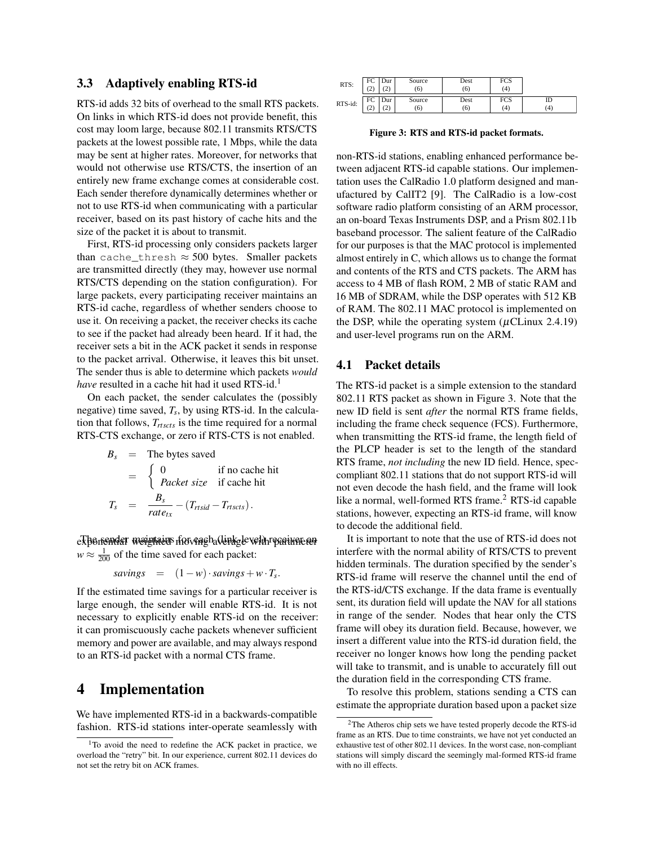#### <span id="page-4-4"></span>3.3 Adaptively enabling RTS-id

RTS-id adds 32 bits of overhead to the small RTS packets. On links in which RTS-id does not provide benefit, this cost may loom large, because 802.11 transmits RTS/CTS packets at the lowest possible rate, 1 Mbps, while the data may be sent at higher rates. Moreover, for networks that would not otherwise use RTS/CTS, the insertion of an entirely new frame exchange comes at considerable cost. Each sender therefore dynamically determines whether or not to use RTS-id when communicating with a particular receiver, based on its past history of cache hits and the size of the packet it is about to transmit.

First, RTS-id processing only considers packets larger than cache\_thresh  $\approx$  500 bytes. Smaller packets are transmitted directly (they may, however use normal RTS/CTS depending on the station configuration). For large packets, every participating receiver maintains an RTS-id cache, regardless of whether senders choose to use it. On receiving a packet, the receiver checks its cache to see if the packet had already been heard. If it had, the receiver sets a bit in the ACK packet it sends in response to the packet arrival. Otherwise, it leaves this bit unset. The sender thus is able to determine which packets *would have* resulted in a cache hit had it used RTS-id.<sup>[1](#page-4-1)</sup>

On each packet, the sender calculates the (possibly negative) time saved, *T<sup>s</sup>* , by using RTS-id. In the calculation that follows, *Trtscts* is the time required for a normal RTS-CTS exchange, or zero if RTS-CTS is not enabled.

$$
B_s = \text{The bytes saved}
$$
  
= 
$$
\begin{cases} 0 & \text{if no cache hit} \\ \text{Packet size} & \text{if cache hit} \end{cases}
$$
  

$$
T_s = \frac{B_s}{\text{rate}_{tx}} - (T_{\text{rtsid}} - T_{\text{rtscts}}).
$$

exponential weighted if averagh (linkgle velth parameter  $w \approx \frac{1}{200}$  of the time saved for each packet:

savings = 
$$
(1 - w) \cdot savings + w \cdot T_s
$$
.

If the estimated time savings for a particular receiver is large enough, the sender will enable RTS-id. It is not necessary to explicitly enable RTS-id on the receiver: it can promiscuously cache packets whenever sufficient memory and power are available, and may always respond to an RTS-id packet with a normal CTS frame.

### <span id="page-4-0"></span>4 Implementation

We have implemented RTS-id in a backwards-compatible fashion. RTS-id stations inter-operate seamlessly with

| RTS:    | FC<br>ำ<br>∸  | Dur<br>∼ | Source<br>6   | Dest<br>(6) | FCS<br>(4) |           |
|---------|---------------|----------|---------------|-------------|------------|-----------|
| RTS-id: | FC<br>ຳ<br>رے | Dur<br>∼ | Source<br>(6) | Dest<br>(6) | FCS<br>(4) | ID<br>(4) |

<span id="page-4-2"></span>Figure 3: RTS and RTS-id packet formats.

non-RTS-id stations, enabling enhanced performance between adjacent RTS-id capable stations. Our implementation uses the CalRadio 1.0 platform designed and manufactured by CalIT2 [[9](#page-13-16)]. The CalRadio is a low-cost software radio platform consisting of an ARM processor, an on-board Texas Instruments DSP, and a Prism 802.11b baseband processor. The salient feature of the CalRadio for our purposes is that the MAC protocol is implemented almost entirely in C, which allows us to change the format and contents of the RTS and CTS packets. The ARM has access to 4 MB of flash ROM, 2 MB of static RAM and 16 MB of SDRAM, while the DSP operates with 512 KB of RAM. The 802.11 MAC protocol is implemented on the DSP, while the operating system  $(\mu$ CLinux 2.4.19) and user-level programs run on the ARM.

#### 4.1 Packet details

The RTS-id packet is a simple extension to the standard 802.11 RTS packet as shown in Figure [3.](#page-4-2) Note that the new ID field is sent *after* the normal RTS frame fields, including the frame check sequence (FCS). Furthermore, when transmitting the RTS-id frame, the length field of the PLCP header is set to the length of the standard RTS frame, *not including* the new ID field. Hence, speccompliant 802.11 stations that do not support RTS-id will not even decode the hash field, and the frame will look like a normal, well-formed RTS frame.<sup>[2](#page-4-3)</sup> RTS-id capable stations, however, expecting an RTS-id frame, will know to decode the additional field.

It is important to note that the use of RTS-id does not interfere with the normal ability of RTS/CTS to prevent hidden terminals. The duration specified by the sender's RTS-id frame will reserve the channel until the end of the RTS-id/CTS exchange. If the data frame is eventually sent, its duration field will update the NAV for all stations in range of the sender. Nodes that hear only the CTS frame will obey its duration field. Because, however, we insert a different value into the RTS-id duration field, the receiver no longer knows how long the pending packet will take to transmit, and is unable to accurately fill out the duration field in the corresponding CTS frame.

To resolve this problem, stations sending a CTS can estimate the appropriate duration based upon a packet size

<span id="page-4-1"></span><sup>&</sup>lt;sup>1</sup>To avoid the need to redefine the ACK packet in practice, we overload the "retry" bit. In our experience, current 802.11 devices do not set the retry bit on ACK frames.

<span id="page-4-3"></span><sup>2</sup>The Atheros chip sets we have tested properly decode the RTS-id frame as an RTS. Due to time constraints, we have not yet conducted an exhaustive test of other 802.11 devices. In the worst case, non-compliant stations will simply discard the seemingly mal-formed RTS-id frame with no ill effects.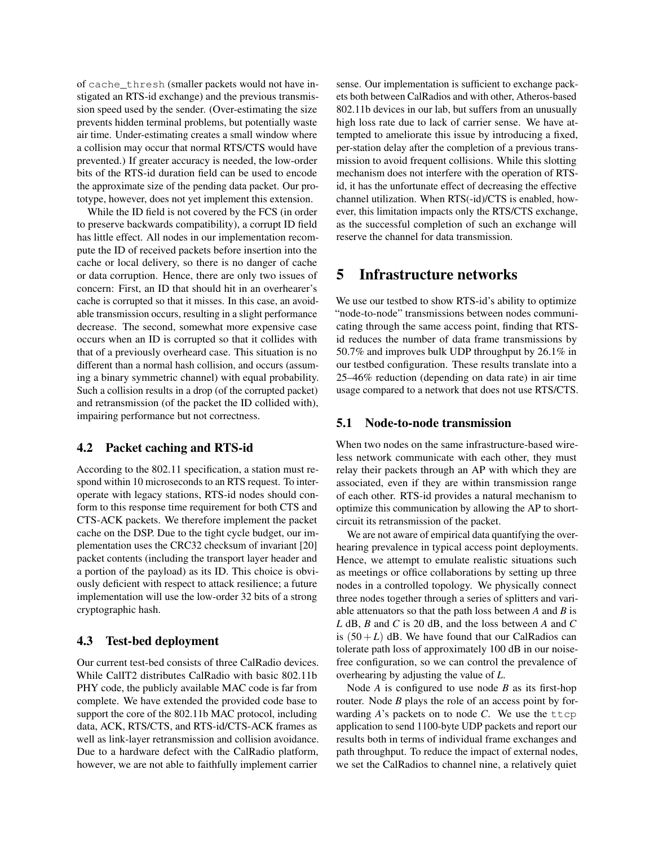of cache\_thresh (smaller packets would not have instigated an RTS-id exchange) and the previous transmission speed used by the sender. (Over-estimating the size prevents hidden terminal problems, but potentially waste air time. Under-estimating creates a small window where a collision may occur that normal RTS/CTS would have prevented.) If greater accuracy is needed, the low-order bits of the RTS-id duration field can be used to encode the approximate size of the pending data packet. Our prototype, however, does not yet implement this extension.

While the ID field is not covered by the FCS (in order to preserve backwards compatibility), a corrupt ID field has little effect. All nodes in our implementation recompute the ID of received packets before insertion into the cache or local delivery, so there is no danger of cache or data corruption. Hence, there are only two issues of concern: First, an ID that should hit in an overhearer's cache is corrupted so that it misses. In this case, an avoidable transmission occurs, resulting in a slight performance decrease. The second, somewhat more expensive case occurs when an ID is corrupted so that it collides with that of a previously overheard case. This situation is no different than a normal hash collision, and occurs (assuming a binary symmetric channel) with equal probability. Such a collision results in a drop (of the corrupted packet) and retransmission (of the packet the ID collided with), impairing performance but not correctness.

### 4.2 Packet caching and RTS-id

According to the 802.11 specification, a station must respond within 10 microseconds to an RTS request. To interoperate with legacy stations, RTS-id nodes should conform to this response time requirement for both CTS and CTS-ACK packets. We therefore implement the packet cache on the DSP. Due to the tight cycle budget, our implementation uses the CRC32 checksum of invariant [[20](#page-13-17)] packet contents (including the transport layer header and a portion of the payload) as its ID. This choice is obviously deficient with respect to attack resilience; a future implementation will use the low-order 32 bits of a strong cryptographic hash.

#### 4.3 Test-bed deployment

Our current test-bed consists of three CalRadio devices. While CalIT2 distributes CalRadio with basic 802.11b PHY code, the publicly available MAC code is far from complete. We have extended the provided code base to support the core of the 802.11b MAC protocol, including data, ACK, RTS/CTS, and RTS-id/CTS-ACK frames as well as link-layer retransmission and collision avoidance. Due to a hardware defect with the CalRadio platform, however, we are not able to faithfully implement carrier

sense. Our implementation is sufficient to exchange packets both between CalRadios and with other, Atheros-based 802.11b devices in our lab, but suffers from an unusually high loss rate due to lack of carrier sense. We have attempted to ameliorate this issue by introducing a fixed, per-station delay after the completion of a previous transmission to avoid frequent collisions. While this slotting mechanism does not interfere with the operation of RTSid, it has the unfortunate effect of decreasing the effective channel utilization. When RTS(-id)/CTS is enabled, however, this limitation impacts only the RTS/CTS exchange, as the successful completion of such an exchange will reserve the channel for data transmission.

### <span id="page-5-0"></span>5 Infrastructure networks

We use our testbed to show RTS-id's ability to optimize "node-to-node" transmissions between nodes communicating through the same access point, finding that RTSid reduces the number of data frame transmissions by 50.7% and improves bulk UDP throughput by 26.1% in our testbed configuration. These results translate into a 25–46% reduction (depending on data rate) in air time usage compared to a network that does not use RTS/CTS.

#### 5.1 Node-to-node transmission

When two nodes on the same infrastructure-based wireless network communicate with each other, they must relay their packets through an AP with which they are associated, even if they are within transmission range of each other. RTS-id provides a natural mechanism to optimize this communication by allowing the AP to shortcircuit its retransmission of the packet.

We are not aware of empirical data quantifying the overhearing prevalence in typical access point deployments. Hence, we attempt to emulate realistic situations such as meetings or office collaborations by setting up three nodes in a controlled topology. We physically connect three nodes together through a series of splitters and variable attenuators so that the path loss between *A* and *B* is *L* dB, *B* and *C* is 20 dB, and the loss between *A* and *C* is  $(50+L)$  dB. We have found that our CalRadios can tolerate path loss of approximately 100 dB in our noisefree configuration, so we can control the prevalence of overhearing by adjusting the value of *L*.

Node *A* is configured to use node *B* as its first-hop router. Node *B* plays the role of an access point by forwarding  $A$ 's packets on to node  $C$ . We use the  $ttop$ application to send 1100-byte UDP packets and report our results both in terms of individual frame exchanges and path throughput. To reduce the impact of external nodes, we set the CalRadios to channel nine, a relatively quiet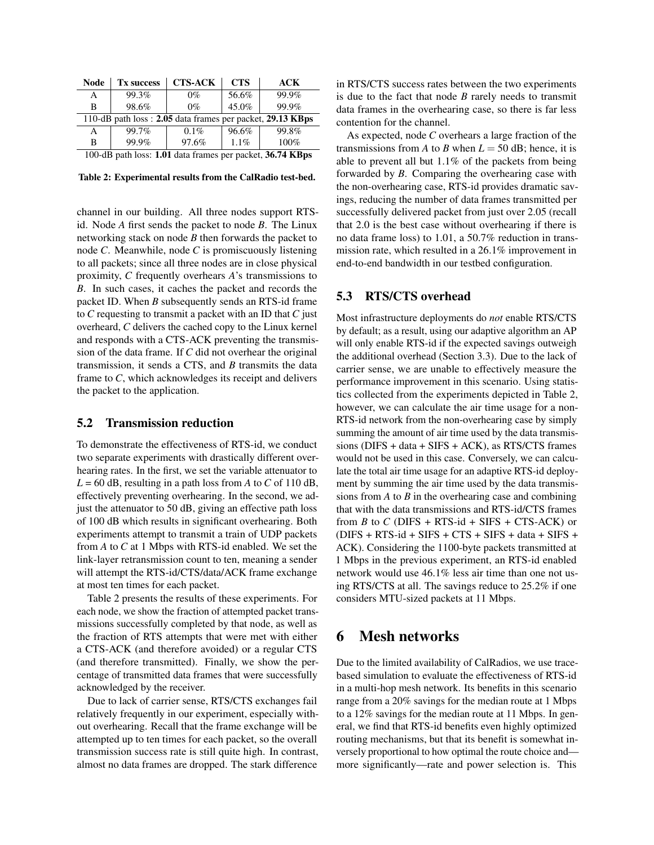| <b>Node</b>                                                | <b>Tx success</b> | <b>CTS-ACK</b> | <b>CTS</b> | <b>ACK</b> |  |  |  |
|------------------------------------------------------------|-------------------|----------------|------------|------------|--|--|--|
| A                                                          | 99.3%             | $0\%$          | 56.6%      | 99.9%      |  |  |  |
| B                                                          | 98.6%             | $0\%$          | 45.0%      | 99.9%      |  |  |  |
| 110-dB path loss : 2.05 data frames per packet, 29.13 KBps |                   |                |            |            |  |  |  |
| A                                                          | 99.7%             | 0.1%           | 96.6%      | 99.8%      |  |  |  |
| B                                                          | 99.9%             | 97.6%          | 1.1%       | 100%       |  |  |  |
| 100-dB path loss: 1.01 data frames per packet, 36.74 KBps  |                   |                |            |            |  |  |  |

<span id="page-6-1"></span>Table 2: Experimental results from the CalRadio test-bed.

channel in our building. All three nodes support RTSid. Node *A* first sends the packet to node *B*. The Linux networking stack on node *B* then forwards the packet to node *C*. Meanwhile, node *C* is promiscuously listening to all packets; since all three nodes are in close physical proximity, *C* frequently overhears *A*'s transmissions to *B*. In such cases, it caches the packet and records the packet ID. When *B* subsequently sends an RTS-id frame to *C* requesting to transmit a packet with an ID that *C* just overheard, *C* delivers the cached copy to the Linux kernel and responds with a CTS-ACK preventing the transmission of the data frame. If *C* did not overhear the original transmission, it sends a CTS, and *B* transmits the data frame to *C*, which acknowledges its receipt and delivers the packet to the application.

### 5.2 Transmission reduction

To demonstrate the effectiveness of RTS-id, we conduct two separate experiments with drastically different overhearing rates. In the first, we set the variable attenuator to  $L = 60$  dB, resulting in a path loss from *A* to *C* of 110 dB, effectively preventing overhearing. In the second, we adjust the attenuator to 50 dB, giving an effective path loss of 100 dB which results in significant overhearing. Both experiments attempt to transmit a train of UDP packets from *A* to *C* at 1 Mbps with RTS-id enabled. We set the link-layer retransmission count to ten, meaning a sender will attempt the RTS-id/CTS/data/ACK frame exchange at most ten times for each packet.

Table [2](#page-6-1) presents the results of these experiments. For each node, we show the fraction of attempted packet transmissions successfully completed by that node, as well as the fraction of RTS attempts that were met with either a CTS-ACK (and therefore avoided) or a regular CTS (and therefore transmitted). Finally, we show the percentage of transmitted data frames that were successfully acknowledged by the receiver.

Due to lack of carrier sense, RTS/CTS exchanges fail relatively frequently in our experiment, especially without overhearing. Recall that the frame exchange will be attempted up to ten times for each packet, so the overall transmission success rate is still quite high. In contrast, almost no data frames are dropped. The stark difference in RTS/CTS success rates between the two experiments is due to the fact that node *B* rarely needs to transmit data frames in the overhearing case, so there is far less contention for the channel.

As expected, node *C* overhears a large fraction of the transmissions from *A* to *B* when  $L = 50$  dB; hence, it is able to prevent all but 1.1% of the packets from being forwarded by *B*. Comparing the overhearing case with the non-overhearing case, RTS-id provides dramatic savings, reducing the number of data frames transmitted per successfully delivered packet from just over 2.05 (recall that 2.0 is the best case without overhearing if there is no data frame loss) to 1.01, a 50.7% reduction in transmission rate, which resulted in a 26.1% improvement in end-to-end bandwidth in our testbed configuration.

#### 5.3 RTS/CTS overhead

Most infrastructure deployments do *not* enable RTS/CTS by default; as a result, using our adaptive algorithm an AP will only enable RTS-id if the expected savings outweigh the additional overhead (Section [3.3\)](#page-4-4). Due to the lack of carrier sense, we are unable to effectively measure the performance improvement in this scenario. Using statistics collected from the experiments depicted in Table [2,](#page-6-1) however, we can calculate the air time usage for a non-RTS-id network from the non-overhearing case by simply summing the amount of air time used by the data transmissions (DIFS + data + SIFS + ACK), as RTS/CTS frames would not be used in this case. Conversely, we can calculate the total air time usage for an adaptive RTS-id deployment by summing the air time used by the data transmissions from *A* to *B* in the overhearing case and combining that with the data transmissions and RTS-id/CTS frames from *B* to *C* (DIFS + RTS-id + SIFS + CTS-ACK) or  $(DIFS + RTS-id + SIFS + CTS + SIFS + data + SIFS +$ ACK). Considering the 1100-byte packets transmitted at 1 Mbps in the previous experiment, an RTS-id enabled network would use 46.1% less air time than one not using RTS/CTS at all. The savings reduce to 25.2% if one considers MTU-sized packets at 11 Mbps.

### <span id="page-6-0"></span>6 Mesh networks

Due to the limited availability of CalRadios, we use tracebased simulation to evaluate the effectiveness of RTS-id in a multi-hop mesh network. Its benefits in this scenario range from a 20% savings for the median route at 1 Mbps to a 12% savings for the median route at 11 Mbps. In general, we find that RTS-id benefits even highly optimized routing mechanisms, but that its benefit is somewhat inversely proportional to how optimal the route choice and more significantly—rate and power selection is. This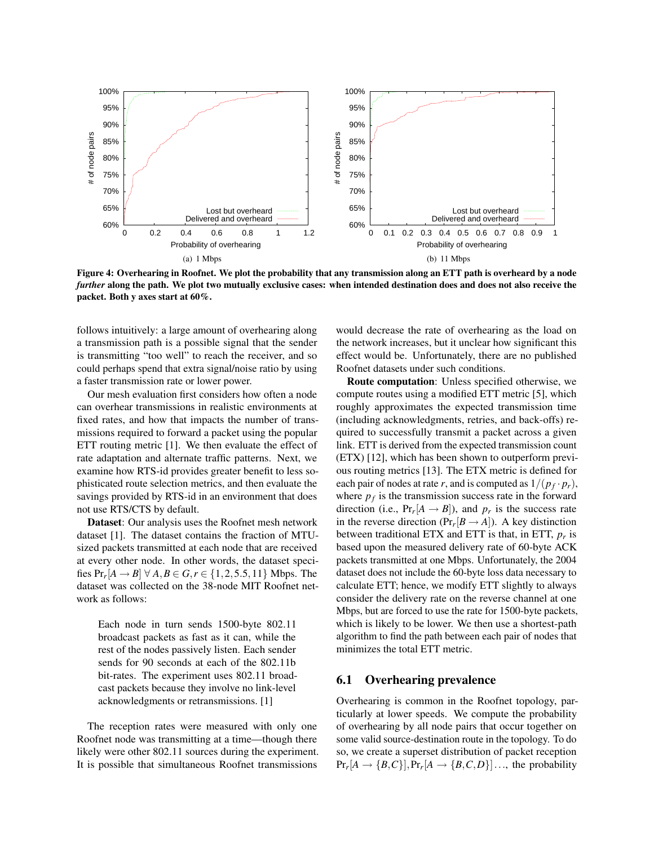

<span id="page-7-0"></span>Figure 4: Overhearing in Roofnet. We plot the probability that any transmission along an ETT path is overheard by a node *further* along the path. We plot two mutually exclusive cases: when intended destination does and does not also receive the packet. Both y axes start at 60%.

follows intuitively: a large amount of overhearing along a transmission path is a possible signal that the sender is transmitting "too well" to reach the receiver, and so could perhaps spend that extra signal/noise ratio by using a faster transmission rate or lower power.

Our mesh evaluation first considers how often a node can overhear transmissions in realistic environments at fixed rates, and how that impacts the number of transmissions required to forward a packet using the popular ETT routing metric [[1](#page-13-18)]. We then evaluate the effect of rate adaptation and alternate traffic patterns. Next, we examine how RTS-id provides greater benefit to less sophisticated route selection metrics, and then evaluate the savings provided by RTS-id in an environment that does not use RTS/CTS by default.

Dataset: Our analysis uses the Roofnet mesh network dataset [[1](#page-13-18)]. The dataset contains the fraction of MTUsized packets transmitted at each node that are received at every other node. In other words, the dataset specifies  $Pr_r[A \to B] \ \forall \ A, B \in G, r \in \{1, 2, 5.5, 11\}$  Mbps. The dataset was collected on the 38-node MIT Roofnet network as follows:

Each node in turn sends 1500-byte 802.11 broadcast packets as fast as it can, while the rest of the nodes passively listen. Each sender sends for 90 seconds at each of the 802.11b bit-rates. The experiment uses 802.11 broadcast packets because they involve no link-level acknowledgments or retransmissions. [\[1\]](#page-13-18)

The reception rates were measured with only one Roofnet node was transmitting at a time—though there likely were other 802.11 sources during the experiment. It is possible that simultaneous Roofnet transmissions would decrease the rate of overhearing as the load on the network increases, but it unclear how significant this effect would be. Unfortunately, there are no published Roofnet datasets under such conditions.

Route computation: Unless specified otherwise, we compute routes using a modified ETT metric [[5](#page-13-8)], which roughly approximates the expected transmission time (including acknowledgments, retries, and back-offs) required to successfully transmit a packet across a given link. ETT is derived from the expected transmission count (ETX) [[12](#page-13-7)], which has been shown to outperform previous routing metrics [[13](#page-13-19)]. The ETX metric is defined for each pair of nodes at rate *r*, and is computed as  $1/(p_f \cdot p_r)$ , where  $p_f$  is the transmission success rate in the forward direction (i.e.,  $Pr_r[A \rightarrow B]$ ), and  $p_r$  is the success rate in the reverse direction  $(\Pr_r[B \rightarrow A])$ . A key distinction between traditional ETX and ETT is that, in ETT, *p<sup>r</sup>* is based upon the measured delivery rate of 60-byte ACK packets transmitted at one Mbps. Unfortunately, the 2004 dataset does not include the 60-byte loss data necessary to calculate ETT; hence, we modify ETT slightly to always consider the delivery rate on the reverse channel at one Mbps, but are forced to use the rate for 1500-byte packets, which is likely to be lower. We then use a shortest-path algorithm to find the path between each pair of nodes that minimizes the total ETT metric.

#### 6.1 Overhearing prevalence

Overhearing is common in the Roofnet topology, particularly at lower speeds. We compute the probability of overhearing by all node pairs that occur together on some valid source-destination route in the topology. To do so, we create a superset distribution of packet reception  $Pr_r[A \rightarrow \{B, C\}], Pr_r[A \rightarrow \{B, C, D\}]\dots$ , the probability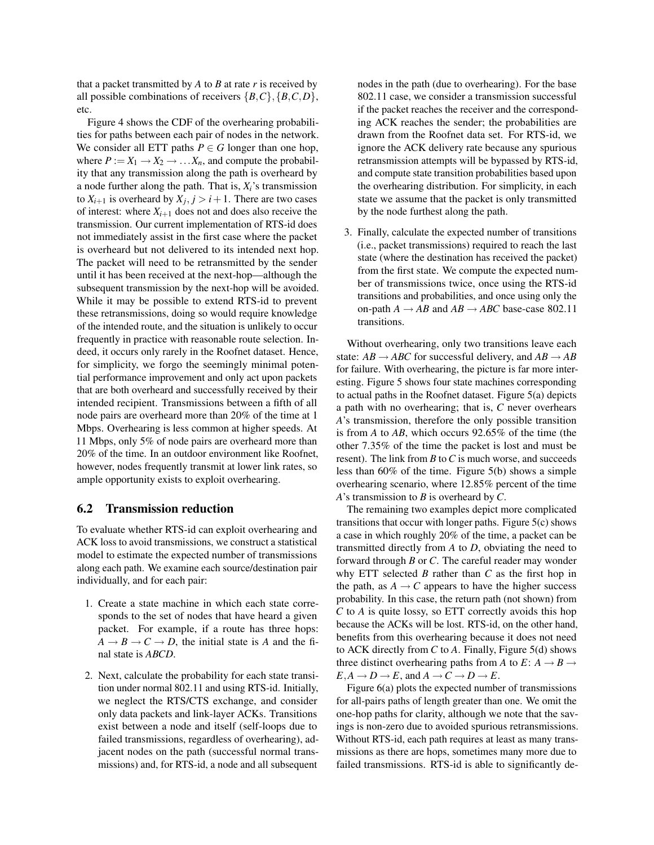that a packet transmitted by *A* to *B* at rate *r* is received by all possible combinations of receivers  $\{B, C\}, \{B, C, D\},\$ etc.

Figure [4](#page-7-0) shows the CDF of the overhearing probabilities for paths between each pair of nodes in the network. We consider all ETT paths  $P \in G$  longer than one hop, where  $P := X_1 \rightarrow X_2 \rightarrow \dots X_n$ , and compute the probability that any transmission along the path is overheard by a node further along the path. That is,  $X_i$ 's transmission to  $X_{i+1}$  is overheard by  $X_j, j > i+1$ . There are two cases of interest: where  $X_{i+1}$  does not and does also receive the transmission. Our current implementation of RTS-id does not immediately assist in the first case where the packet is overheard but not delivered to its intended next hop. The packet will need to be retransmitted by the sender until it has been received at the next-hop—although the subsequent transmission by the next-hop will be avoided. While it may be possible to extend RTS-id to prevent these retransmissions, doing so would require knowledge of the intended route, and the situation is unlikely to occur frequently in practice with reasonable route selection. Indeed, it occurs only rarely in the Roofnet dataset. Hence, for simplicity, we forgo the seemingly minimal potential performance improvement and only act upon packets that are both overheard and successfully received by their intended recipient. Transmissions between a fifth of all node pairs are overheard more than 20% of the time at 1 Mbps. Overhearing is less common at higher speeds. At 11 Mbps, only 5% of node pairs are overheard more than 20% of the time. In an outdoor environment like Roofnet, however, nodes frequently transmit at lower link rates, so ample opportunity exists to exploit overhearing.

#### 6.2 Transmission reduction

To evaluate whether RTS-id can exploit overhearing and ACK loss to avoid transmissions, we construct a statistical model to estimate the expected number of transmissions along each path. We examine each source/destination pair individually, and for each pair:

- 1. Create a state machine in which each state corresponds to the set of nodes that have heard a given packet. For example, if a route has three hops:  $A \rightarrow B \rightarrow C \rightarrow D$ , the initial state is *A* and the final state is *ABCD*.
- 2. Next, calculate the probability for each state transition under normal 802.11 and using RTS-id. Initially, we neglect the RTS/CTS exchange, and consider only data packets and link-layer ACKs. Transitions exist between a node and itself (self-loops due to failed transmissions, regardless of overhearing), adjacent nodes on the path (successful normal transmissions) and, for RTS-id, a node and all subsequent

nodes in the path (due to overhearing). For the base 802.11 case, we consider a transmission successful if the packet reaches the receiver and the corresponding ACK reaches the sender; the probabilities are drawn from the Roofnet data set. For RTS-id, we ignore the ACK delivery rate because any spurious retransmission attempts will be bypassed by RTS-id, and compute state transition probabilities based upon the overhearing distribution. For simplicity, in each state we assume that the packet is only transmitted by the node furthest along the path.

3. Finally, calculate the expected number of transitions (i.e., packet transmissions) required to reach the last state (where the destination has received the packet) from the first state. We compute the expected number of transmissions twice, once using the RTS-id transitions and probabilities, and once using only the on-path  $A \rightarrow AB$  and  $AB \rightarrow ABC$  base-case 802.11 transitions.

Without overhearing, only two transitions leave each state:  $AB \rightarrow ABC$  for successful delivery, and  $AB \rightarrow AB$ for failure. With overhearing, the picture is far more interesting. Figure [5](#page-9-0) shows four state machines corresponding to actual paths in the Roofnet dataset. Figure [5\(a\)](#page-9-1) depicts a path with no overhearing; that is, *C* never overhears *A*'s transmission, therefore the only possible transition is from *A* to *AB*, which occurs 92.65% of the time (the other 7.35% of the time the packet is lost and must be resent). The link from *B* to*C* is much worse, and succeeds less than 60% of the time. Figure [5\(b\)](#page-9-2) shows a simple overhearing scenario, where 12.85% percent of the time *A*'s transmission to *B* is overheard by *C*.

The remaining two examples depict more complicated transitions that occur with longer paths. Figure [5\(c\)](#page-9-3) shows a case in which roughly 20% of the time, a packet can be transmitted directly from *A* to *D*, obviating the need to forward through *B* or *C*. The careful reader may wonder why ETT selected *B* rather than *C* as the first hop in the path, as  $A \rightarrow C$  appears to have the higher success probability. In this case, the return path (not shown) from *C* to *A* is quite lossy, so ETT correctly avoids this hop because the ACKs will be lost. RTS-id, on the other hand, benefits from this overhearing because it does not need to ACK directly from *C* to *A*. Finally, Figure [5\(d\)](#page-9-4) shows three distinct overhearing paths from *A* to  $E: A \rightarrow B \rightarrow$  $E, A \rightarrow D \rightarrow E$ , and  $A \rightarrow C \rightarrow D \rightarrow E$ .

Figure [6\(a\)](#page-9-5) plots the expected number of transmissions for all-pairs paths of length greater than one. We omit the one-hop paths for clarity, although we note that the savings is non-zero due to avoided spurious retransmissions. Without RTS-id, each path requires at least as many transmissions as there are hops, sometimes many more due to failed transmissions. RTS-id is able to significantly de-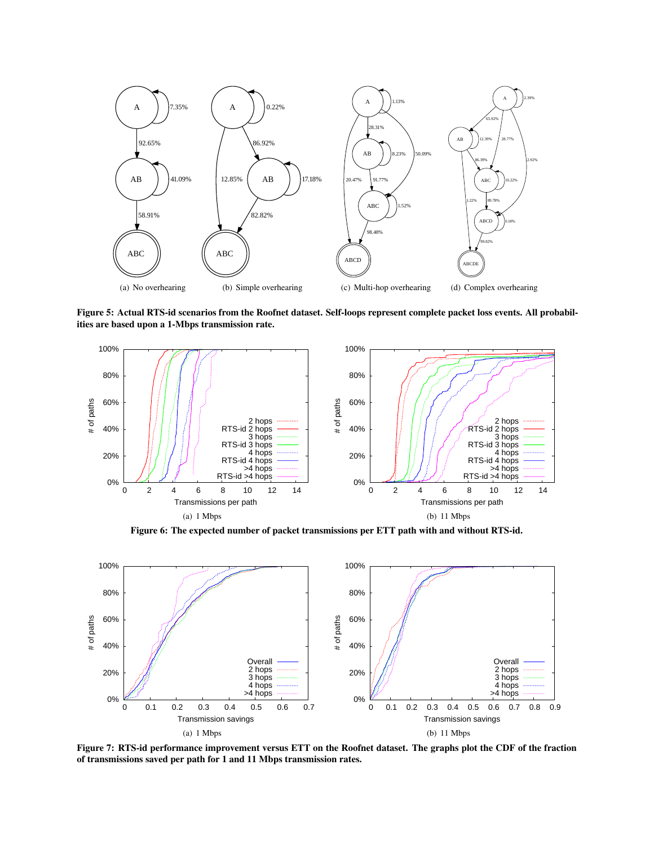<span id="page-9-1"></span>

<span id="page-9-3"></span><span id="page-9-2"></span><span id="page-9-0"></span>Figure 5: Actual RTS-id scenarios from the Roofnet dataset. Self-loops represent complete packet loss events. All probabilities are based upon a 1-Mbps transmission rate.

<span id="page-9-5"></span><span id="page-9-4"></span>

Figure 6: The expected number of packet transmissions per ETT path with and without RTS-id.



<span id="page-9-6"></span>Figure 7: RTS-id performance improvement versus ETT on the Roofnet dataset. The graphs plot the CDF of the fraction of transmissions saved per path for 1 and 11 Mbps transmission rates.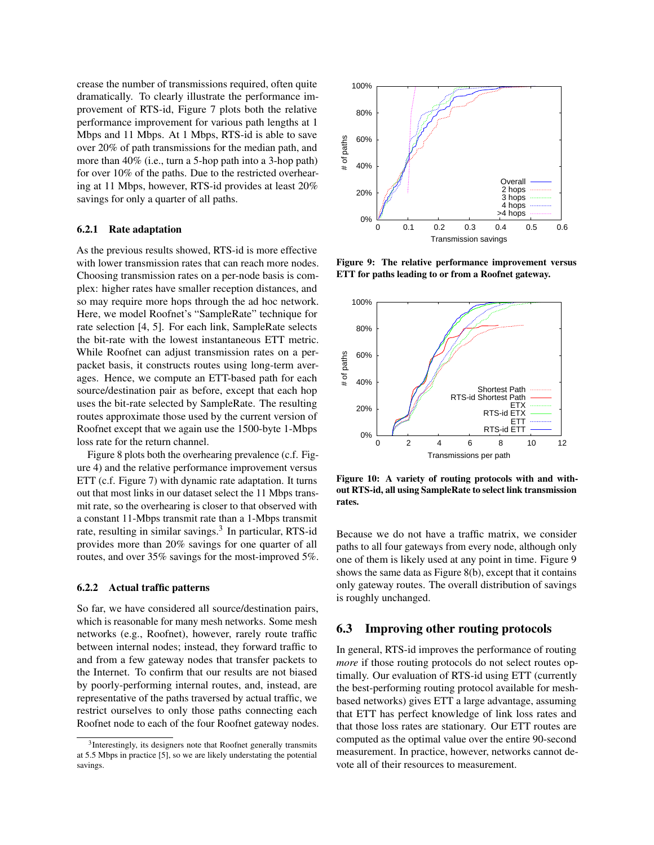crease the number of transmissions required, often quite dramatically. To clearly illustrate the performance improvement of RTS-id, Figure [7](#page-9-6) plots both the relative performance improvement for various path lengths at 1 Mbps and 11 Mbps. At 1 Mbps, RTS-id is able to save over 20% of path transmissions for the median path, and more than 40% (i.e., turn a 5-hop path into a 3-hop path) for over 10% of the paths. Due to the restricted overhearing at 11 Mbps, however, RTS-id provides at least 20% savings for only a quarter of all paths.

#### 6.2.1 Rate adaptation

As the previous results showed, RTS-id is more effective with lower transmission rates that can reach more nodes. Choosing transmission rates on a per-node basis is complex: higher rates have smaller reception distances, and so may require more hops through the ad hoc network. Here, we model Roofnet's "SampleRate" technique for rate selection [[4](#page-13-20), [5](#page-13-8)]. For each link, SampleRate selects the bit-rate with the lowest instantaneous ETT metric. While Roofnet can adjust transmission rates on a perpacket basis, it constructs routes using long-term averages. Hence, we compute an ETT-based path for each source/destination pair as before, except that each hop uses the bit-rate selected by SampleRate. The resulting routes approximate those used by the current version of Roofnet except that we again use the 1500-byte 1-Mbps loss rate for the return channel.

Figure [8](#page-11-0) plots both the overhearing prevalence (c.f. Figure [4\)](#page-7-0) and the relative performance improvement versus ETT (c.f. Figure [7\)](#page-9-6) with dynamic rate adaptation. It turns out that most links in our dataset select the 11 Mbps transmit rate, so the overhearing is closer to that observed with a constant 11-Mbps transmit rate than a 1-Mbps transmit rate, resulting in similar savings.<sup>[3](#page-10-0)</sup> In particular, RTS-id provides more than 20% savings for one quarter of all routes, and over 35% savings for the most-improved 5%.

#### 6.2.2 Actual traffic patterns

So far, we have considered all source/destination pairs, which is reasonable for many mesh networks. Some mesh networks (e.g., Roofnet), however, rarely route traffic between internal nodes; instead, they forward traffic to and from a few gateway nodes that transfer packets to the Internet. To confirm that our results are not biased by poorly-performing internal routes, and, instead, are representative of the paths traversed by actual traffic, we restrict ourselves to only those paths connecting each Roofnet node to each of the four Roofnet gateway nodes.



<span id="page-10-1"></span>Figure 9: The relative performance improvement versus ETT for paths leading to or from a Roofnet gateway.



<span id="page-10-2"></span>Figure 10: A variety of routing protocols with and without RTS-id, all using SampleRate to select link transmission rates.

Because we do not have a traffic matrix, we consider paths to all four gateways from every node, although only one of them is likely used at any point in time. Figure [9](#page-10-1) shows the same data as Figure [8\(b\),](#page-11-1) except that it contains only gateway routes. The overall distribution of savings is roughly unchanged.

#### 6.3 Improving other routing protocols

In general, RTS-id improves the performance of routing *more* if those routing protocols do not select routes optimally. Our evaluation of RTS-id using ETT (currently the best-performing routing protocol available for meshbased networks) gives ETT a large advantage, assuming that ETT has perfect knowledge of link loss rates and that those loss rates are stationary. Our ETT routes are computed as the optimal value over the entire 90-second measurement. In practice, however, networks cannot devote all of their resources to measurement.

<span id="page-10-0"></span><sup>&</sup>lt;sup>3</sup>Interestingly, its designers note that Roofnet generally transmits at 5.5 Mbps in practice [[5](#page-13-8)], so we are likely understating the potential savings.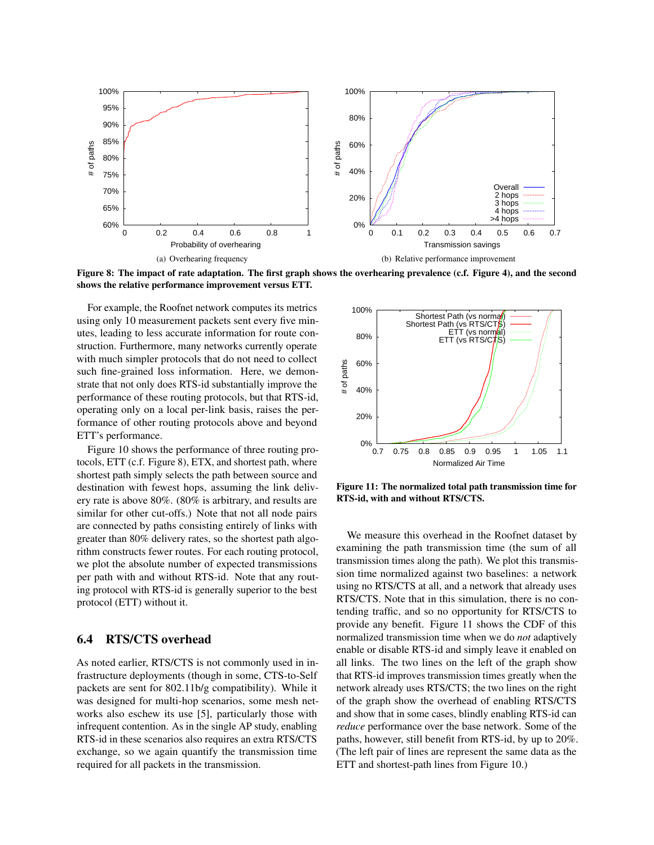

<span id="page-11-0"></span>Figure 8: The impact of rate adaptation. The first graph shows the overhearing prevalence (c.f. Figure [4\)](#page-7-0), and the second shows the relative performance improvement versus ETT.

For example, the Roofnet network computes its metrics using only 10 measurement packets sent every five minutes, leading to less accurate information for route construction. Furthermore, many networks currently operate with much simpler protocols that do not need to collect such fine-grained loss information. Here, we demonstrate that not only does RTS-id substantially improve the performance of these routing protocols, but that RTS-id, operating only on a local per-link basis, raises the performance of other routing protocols above and beyond ETT's performance.

Figure [10](#page-10-2) shows the performance of three routing protocols, ETT (c.f. Figure [8\)](#page-11-0), ETX, and shortest path, where shortest path simply selects the path between source and destination with fewest hops, assuming the link delivery rate is above 80%. (80% is arbitrary, and results are similar for other cut-offs.) Note that not all node pairs are connected by paths consisting entirely of links with greater than 80% delivery rates, so the shortest path algorithm constructs fewer routes. For each routing protocol, we plot the absolute number of expected transmissions per path with and without RTS-id. Note that any routing protocol with RTS-id is generally superior to the best protocol (ETT) without it.

### 6.4 RTS/CTS overhead

As noted earlier, RTS/CTS is not commonly used in infrastructure deployments (though in some, CTS-to-Self packets are sent for 802.11b/g compatibility). While it was designed for multi-hop scenarios, some mesh networks also eschew its use [[5](#page-13-8)], particularly those with infrequent contention. As in the single AP study, enabling RTS-id in these scenarios also requires an extra RTS/CTS exchange, so we again quantify the transmission time required for all packets in the transmission.

<span id="page-11-1"></span>

<span id="page-11-2"></span>Figure 11: The normalized total path transmission time for RTS-id, with and without RTS/CTS.

We measure this overhead in the Roofnet dataset by examining the path transmission time (the sum of all transmission times along the path). We plot this transmission time normalized against two baselines: a network using no RTS/CTS at all, and a network that already uses RTS/CTS. Note that in this simulation, there is no contending traffic, and so no opportunity for RTS/CTS to provide any benefit. Figure [11](#page-11-2) shows the CDF of this normalized transmission time when we do *not* adaptively enable or disable RTS-id and simply leave it enabled on all links. The two lines on the left of the graph show that RTS-id improves transmission times greatly when the network already uses RTS/CTS; the two lines on the right of the graph show the overhead of enabling RTS/CTS and show that in some cases, blindly enabling RTS-id can *reduce* performance over the base network. Some of the paths, however, still benefit from RTS-id, by up to 20%. (The left pair of lines are represent the same data as the ETT and shortest-path lines from Figure [10.](#page-10-2))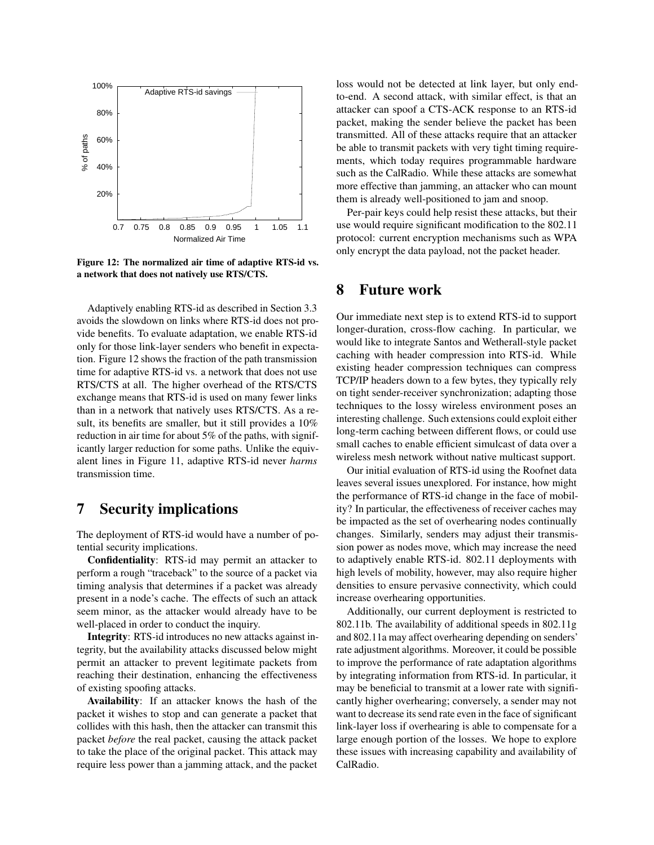

<span id="page-12-2"></span>Figure 12: The normalized air time of adaptive RTS-id vs. a network that does not natively use RTS/CTS.

Adaptively enabling RTS-id as described in Section [3.3](#page-4-4) avoids the slowdown on links where RTS-id does not provide benefits. To evaluate adaptation, we enable RTS-id only for those link-layer senders who benefit in expectation. Figure [12](#page-12-2) shows the fraction of the path transmission time for adaptive RTS-id vs. a network that does not use RTS/CTS at all. The higher overhead of the RTS/CTS exchange means that RTS-id is used on many fewer links than in a network that natively uses RTS/CTS. As a result, its benefits are smaller, but it still provides a 10% reduction in air time for about 5% of the paths, with significantly larger reduction for some paths. Unlike the equivalent lines in Figure [11,](#page-11-2) adaptive RTS-id never *harms* transmission time.

### <span id="page-12-0"></span>7 Security implications

The deployment of RTS-id would have a number of potential security implications.

Confidentiality: RTS-id may permit an attacker to perform a rough "traceback" to the source of a packet via timing analysis that determines if a packet was already present in a node's cache. The effects of such an attack seem minor, as the attacker would already have to be well-placed in order to conduct the inquiry.

Integrity: RTS-id introduces no new attacks against integrity, but the availability attacks discussed below might permit an attacker to prevent legitimate packets from reaching their destination, enhancing the effectiveness of existing spoofing attacks.

Availability: If an attacker knows the hash of the packet it wishes to stop and can generate a packet that collides with this hash, then the attacker can transmit this packet *before* the real packet, causing the attack packet to take the place of the original packet. This attack may require less power than a jamming attack, and the packet loss would not be detected at link layer, but only endto-end. A second attack, with similar effect, is that an attacker can spoof a CTS-ACK response to an RTS-id packet, making the sender believe the packet has been transmitted. All of these attacks require that an attacker be able to transmit packets with very tight timing requirements, which today requires programmable hardware such as the CalRadio. While these attacks are somewhat more effective than jamming, an attacker who can mount them is already well-positioned to jam and snoop.

Per-pair keys could help resist these attacks, but their use would require significant modification to the 802.11 protocol: current encryption mechanisms such as WPA only encrypt the data payload, not the packet header.

### <span id="page-12-1"></span>8 Future work

Our immediate next step is to extend RTS-id to support longer-duration, cross-flow caching. In particular, we would like to integrate Santos and Wetherall-style packet caching with header compression into RTS-id. While existing header compression techniques can compress TCP/IP headers down to a few bytes, they typically rely on tight sender-receiver synchronization; adapting those techniques to the lossy wireless environment poses an interesting challenge. Such extensions could exploit either long-term caching between different flows, or could use small caches to enable efficient simulcast of data over a wireless mesh network without native multicast support.

Our initial evaluation of RTS-id using the Roofnet data leaves several issues unexplored. For instance, how might the performance of RTS-id change in the face of mobility? In particular, the effectiveness of receiver caches may be impacted as the set of overhearing nodes continually changes. Similarly, senders may adjust their transmission power as nodes move, which may increase the need to adaptively enable RTS-id. 802.11 deployments with high levels of mobility, however, may also require higher densities to ensure pervasive connectivity, which could increase overhearing opportunities.

Additionally, our current deployment is restricted to 802.11b. The availability of additional speeds in 802.11g and 802.11a may affect overhearing depending on senders' rate adjustment algorithms. Moreover, it could be possible to improve the performance of rate adaptation algorithms by integrating information from RTS-id. In particular, it may be beneficial to transmit at a lower rate with significantly higher overhearing; conversely, a sender may not want to decrease its send rate even in the face of significant link-layer loss if overhearing is able to compensate for a large enough portion of the losses. We hope to explore these issues with increasing capability and availability of CalRadio.